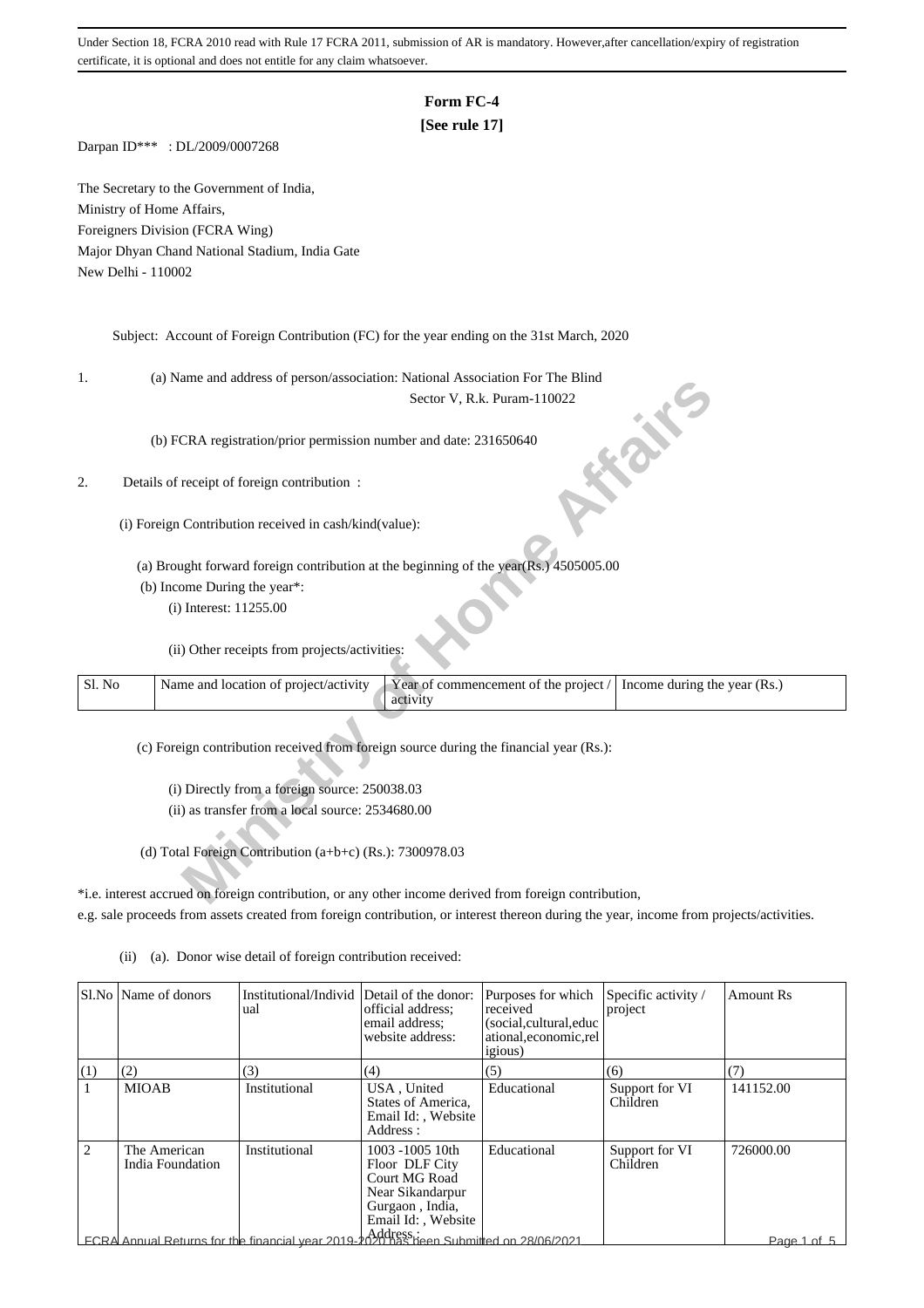# **Form FC-4**

## **[See rule 17]**

Darpan ID\*\*\* : DL/2009/0007268

The Secretary to the Government of India, Ministry of Home Affairs, Foreigners Division (FCRA Wing) Major Dhyan Chand National Stadium, India Gate New Delhi - 110002

Subject: Account of Foreign Contribution (FC) for the year ending on the 31st March, 2020

1. (a) Name and address of person/association: National Association For The Blind

### 2. Details of receipt of foreign contribution :

| ı.     | (a) ivalue and address of person/association. Ivational Association For The Billid                                         |  |
|--------|----------------------------------------------------------------------------------------------------------------------------|--|
|        | Sector V, R.k. Puram-110022                                                                                                |  |
|        | (b) FCRA registration/prior permission number and date: 231650640                                                          |  |
| 2.     | Details of receipt of foreign contribution :                                                                               |  |
|        | (i) Foreign Contribution received in cash/kind(value):                                                                     |  |
|        | (a) Brought forward foreign contribution at the beginning of the year(Rs.) 4505005.00                                      |  |
|        | (b) Income During the year*:                                                                                               |  |
|        | (i) Interest: 11255.00                                                                                                     |  |
|        | (ii) Other receipts from projects/activities:                                                                              |  |
| Sl. No | Name and location of project/activity<br>Year of commencement of the project /<br>Income during the year (Rs.)<br>activity |  |
|        | (c) Foreign contribution received from foreign source during the financial year (Rs.):                                     |  |
|        | (i) Directly from a foreign source: 250038.03                                                                              |  |
|        | (ii) as transfer from a local source: 2534680.00                                                                           |  |
|        | (d) Total Foreign Contribution $(a+b+c)$ (Rs.): 7300978.03                                                                 |  |
|        | *i.e. interest accrued on foreign contribution, or any other income derived from foreign contribution,                     |  |

\*i.e. interest accrued on foreign contribution, or any other income derived from foreign contribution, e.g. sale proceeds from assets created from foreign contribution, or interest thereon during the year, income from projects/activities.

|     | Sl.No   Name of donors           | Institutional/Individ Detail of the donor:<br>ual                                     | official address:<br>email address:<br>website address:                                                         | Purposes for which<br>received<br>(social,cultural,educ<br>ational,economic,rel<br><i>igious</i> ) | Specific activity /<br>project | <b>Amount Rs</b> |
|-----|----------------------------------|---------------------------------------------------------------------------------------|-----------------------------------------------------------------------------------------------------------------|----------------------------------------------------------------------------------------------------|--------------------------------|------------------|
| (1) | (2)                              | (3)                                                                                   | (4)                                                                                                             | (5)                                                                                                | (6)                            | (7)              |
|     | <b>MIOAB</b>                     | Institutional                                                                         | USA, United<br>States of America,<br>Email Id:, Website<br>Address:                                             | Educational                                                                                        | Support for VI<br>Children     | 141152.00        |
| 2   | The American<br>India Foundation | Institutional                                                                         | 1003 -1005 10th<br>Floor DLF City<br>Court MG Road<br>Near Sikandarpur<br>Gurgaon, India,<br>Email Id:, Website | Educational                                                                                        | Support for VI<br>Children     | 726000.00        |
|     |                                  | ECRA Annual Returns for the financial year 2019-2020 has been Submitted on 28/06/2021 |                                                                                                                 |                                                                                                    |                                | Page 1 of 5      |

(ii) (a). Donor wise detail of foreign contribution received: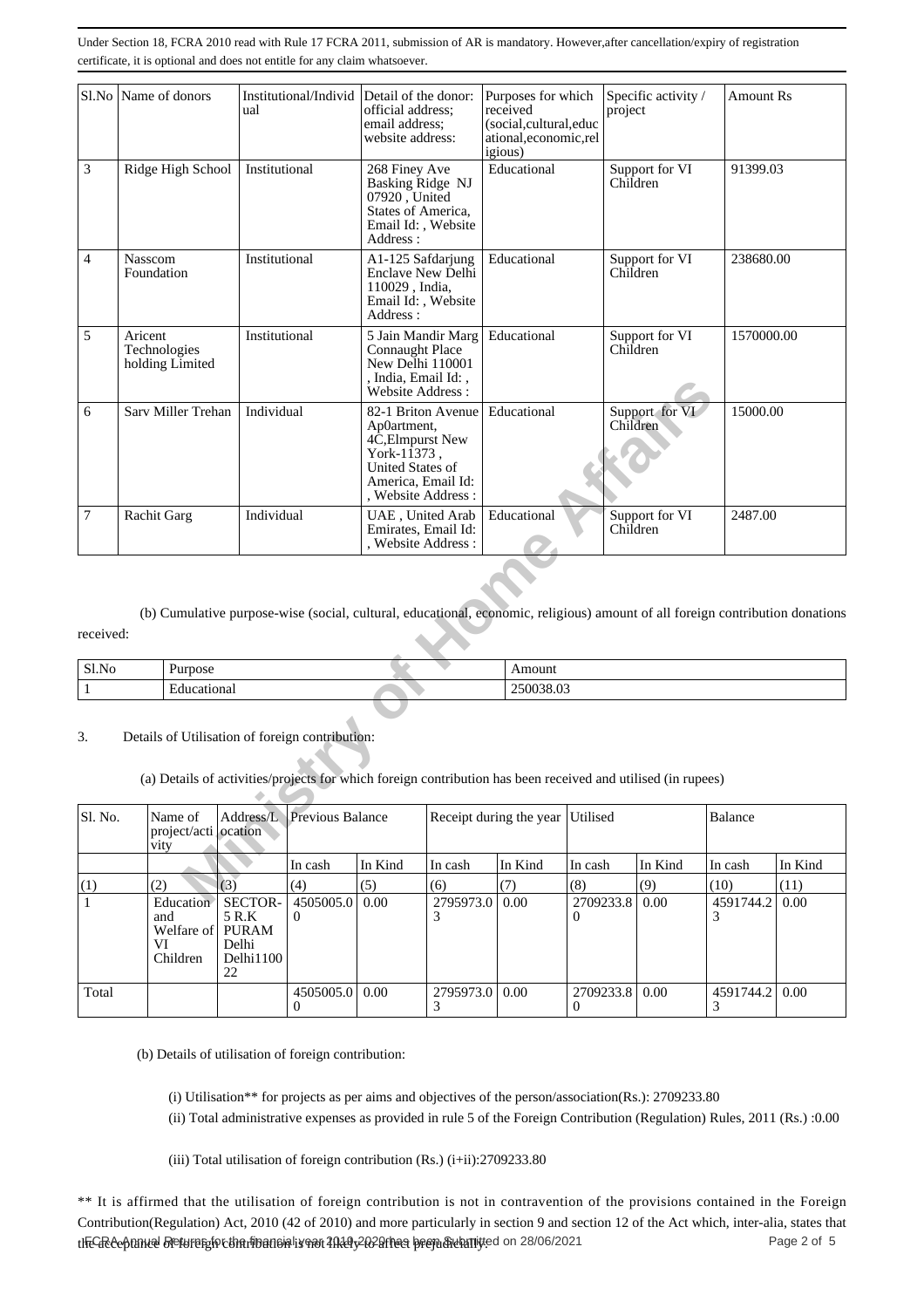|                | Sl.No Name of donors                            | ual           | Institutional/Individ | Detail of the donor:<br>official address;<br>email address;<br>website address:                                                                             |                | Purposes for which<br>received<br>(social, cultural, educ<br>ational,economic,rel<br>igious)                                  |                | project  | Specific activity / | Amount Rs        |         |
|----------------|-------------------------------------------------|---------------|-----------------------|-------------------------------------------------------------------------------------------------------------------------------------------------------------|----------------|-------------------------------------------------------------------------------------------------------------------------------|----------------|----------|---------------------|------------------|---------|
| 3              | Ridge High School                               | Institutional |                       | 268 Finey Ave<br>Basking Ridge NJ<br>07920, United<br>States of America,<br>Email Id:, Website<br>Address:                                                  |                | Educational                                                                                                                   |                | Children | Support for VI      | 91399.03         |         |
| $\overline{4}$ | <b>Nasscom</b><br>Foundation                    | Institutional |                       | A1-125 Safdarjung<br>Enclave New Delhi<br>110029, India,<br>Email Id: , Website<br>Address:                                                                 |                | Educational                                                                                                                   |                | Children | Support for VI      | 238680.00        |         |
| 5              | Aricent<br>Technologies<br>holding Limited      | Institutional |                       | 5 Jain Mandir Marg<br><b>Connaught Place</b><br>New Delhi 110001<br>, India, Email Id:,<br>Website Address:                                                 |                | Educational                                                                                                                   |                | Children | Support for VI      | 1570000.00       |         |
| 6              | Sarv Miller Trehan                              |               | Individual            | 82-1 Briton Avenue<br>Ap0artment,<br>4C, Elmpurst New<br>York- $1\overline{1}373$ ,<br><b>United States of</b><br>America, Email Id:<br>, Website Address : |                | Educational                                                                                                                   |                | Children | Support for VI      | 15000.00         |         |
| $\overline{7}$ | Rachit Garg                                     | Individual    |                       | UAE, United Arab<br>Emirates, Email Id:<br>, Website Address :                                                                                              |                | Educational                                                                                                                   |                | Children | Support for VI      | 2487.00          |         |
| received:      |                                                 |               |                       |                                                                                                                                                             |                | (b) Cumulative purpose-wise (social, cultural, educational, economic, religious) amount of all foreign contribution donations |                |          |                     |                  |         |
| Sl.No          | Purpose                                         |               |                       |                                                                                                                                                             |                | Amount                                                                                                                        |                |          |                     |                  |         |
| $\mathbf{1}$   | Educational                                     |               |                       |                                                                                                                                                             |                | 250038.03                                                                                                                     |                |          |                     |                  |         |
| 3.             | Details of Utilisation of foreign contribution: |               |                       |                                                                                                                                                             |                | (a) Details of activities/projects for which foreign contribution has been received and utilised (in rupees)                  |                |          |                     |                  |         |
| Sl. No.        | Name of<br>project/acti ocation<br>vity         | Address/L     | Previous Balance      |                                                                                                                                                             |                | Receipt during the year                                                                                                       | Utilised       |          |                     | Balance          |         |
|                |                                                 |               | In cash               | In Kind                                                                                                                                                     | In cash        | In Kind                                                                                                                       | In cash        |          | In Kind             | In cash          | In Kind |
| (1)            | (2)                                             | (3)           | (4)                   | (5)                                                                                                                                                         | (6)            | (7)                                                                                                                           | (8)            |          | (9)                 | (10)<br>15017442 | (11)    |
|                | Education                                       | SECTOR.       | 4505005.0 0.00        |                                                                                                                                                             | 2795973.0 0.00 |                                                                                                                               | 2709233 8 0.00 |          |                     |                  | 0.00    |

|               | $1$ rn $000$ | $\sim$            |
|---------------|--------------|-------------------|
| $\sim$ $\sim$ | -            | м                 |
| SI.No         | J∂⊑          |                   |
|               | ┳            | <b>∩</b> ←<br>ור. |

#### 3. Details of Utilisation of foreign contribution:

| Sl. No. | Name of<br>project/acti ocation<br>vity                |                                                     |                       | Address/L Previous Balance |                  | Receipt during the year Utilised |                              |         |                  | Balance |  |
|---------|--------------------------------------------------------|-----------------------------------------------------|-----------------------|----------------------------|------------------|----------------------------------|------------------------------|---------|------------------|---------|--|
|         |                                                        |                                                     | In cash               | In Kind                    | In cash          | In Kind                          | In cash                      | In Kind | In cash          | In Kind |  |
| (1)     | (2)                                                    | (3)                                                 | (4)                   | (5)                        | (6)              | (7)                              | (8)                          | (9)     | (10)             | (11)    |  |
|         | Education<br>and<br>Welfare of PURAM<br>VI<br>Children | <b>SECTOR-</b><br>5 R.K<br>Delhi<br>Delhi1100<br>22 | 4505005.0<br>$\theta$ | 0.00                       | 2795973.0   0.00 |                                  | 2709233.8   0.00<br>$\theta$ |         | 4591744.2        | 0.00    |  |
| Total   |                                                        |                                                     | 4505005.0   0.00      |                            | 2795973.0   0.00 |                                  | 2709233.8   0.00<br>$\theta$ |         | 4591744.2   0.00 |         |  |

(b) Details of utilisation of foreign contribution:

(i) Utilisation\*\* for projects as per aims and objectives of the person/association(Rs.): 2709233.80

(ii) Total administrative expenses as provided in rule 5 of the Foreign Contribution (Regulation) Rules, 2011 (Rs.) :0.00

(iii) Total utilisation of foreign contribution (Rs.) (i+ii):2709233.80

\*\* It is affirmed that the utilisation of foreign contribution is not in contravention of the provisions contained in the Foreign Contribution(Regulation) Act, 2010 (42 of 2010) and more particularly in section 9 and section 12 of the Act which, inter-alia, states that thEGReeoftunuel Breturns for the financial year 2008/2020/hea been Submitted on 28/06/2021 Page 2 of Page 2 of Page 2 of 5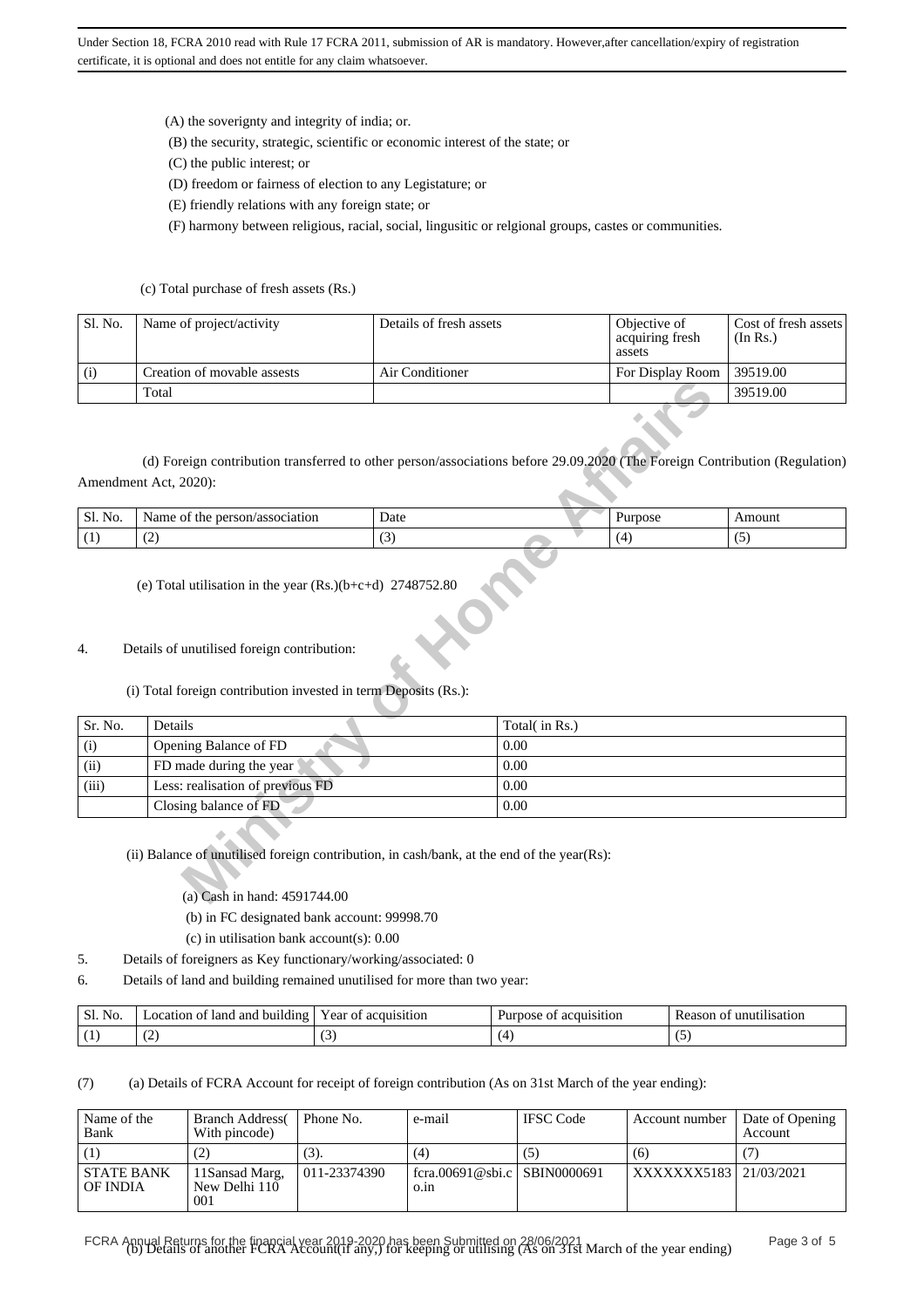(A) the soverignty and integrity of india; or.

- (B) the security, strategic, scientific or economic interest of the state; or
- (C) the public interest; or
- (D) freedom or fairness of election to any Legistature; or
- (E) friendly relations with any foreign state; or

(F) harmony between religious, racial, social, lingusitic or relgional groups, castes or communities.

#### (c) Total purchase of fresh assets (Rs.)

| Sl. No. | Name of project/activity    | Details of fresh assets | Objective of<br>acquiring fresh<br>assets | Cost of fresh assets<br>(In Rs.) |
|---------|-----------------------------|-------------------------|-------------------------------------------|----------------------------------|
| (i)     | Creation of movable assests | Air Conditioner         | For Display Room $\vert$ 39519.00         |                                  |
|         | Total                       |                         |                                           | 39519.00                         |

| Sl. No. | person/association<br>Name of<br>the | Date | "pose    | Amount   |
|---------|--------------------------------------|------|----------|----------|
| . .     | ╰                                    |      | $\prime$ | س ،<br>ຸ |

#### 4. Details of unutilised foreign contribution:

### (i) Total foreign contribution invested in term Deposits (Rs.):

|         | Total                                                                                                                                               |      |               |         | 39519.00 |
|---------|-----------------------------------------------------------------------------------------------------------------------------------------------------|------|---------------|---------|----------|
|         | (d) Foreign contribution transferred to other person/associations before 29.09.2020 (The Foreign Contribution (Regulation)<br>Amendment Act, 2020): |      |               |         |          |
| Sl. No. | Name of the person/association                                                                                                                      | Date |               | Purpose | Amount   |
| (1)     | (2)                                                                                                                                                 | (3)  |               | (4)     | (5)      |
|         | (i) Total foreign contribution invested in term Deposits (Rs.):                                                                                     |      |               |         |          |
| Sr. No. | Details                                                                                                                                             |      | Total(in Rs.) |         |          |
| (i)     | Opening Balance of FD                                                                                                                               |      | 0.00          |         |          |
| (ii)    | FD made during the year                                                                                                                             |      | 0.00          |         |          |
| (iii)   | Less: realisation of previous FD                                                                                                                    |      | 0.00          |         |          |
|         | Closing balance of FD                                                                                                                               |      | 0.00          |         |          |
|         | (ii) Balance of unutilised foreign contribution, in cash/bank, at the end of the year(Rs):<br>(a) Cash in hand: 4591744.00                          |      |               |         |          |

### (ii) Balance of unutilised foreign contribution, in cash/bank, at the end of the year(Rs):

- (b) in FC designated bank account: 99998.70
- (c) in utilisation bank account(s): 0.00
- 5. Details of foreigners as Key functionary/working/associated: 0
- 6. Details of land and building remained unutilised for more than two year:

| Sl. No. | land and<br>building<br>.ocation<br>ОŤ | Year of<br>acquisition | acquisition<br>Purpose<br>ОĪ | Reason<br>unur<br>1l1sat10n<br>- 01 |
|---------|----------------------------------------|------------------------|------------------------------|-------------------------------------|
|         | $\overline{\phantom{0}}$               | v,                     |                              | ت                                   |

(7) (a) Details of FCRA Account for receipt of foreign contribution (As on 31st March of the year ending):

| Name of the<br>Bank           | <b>Branch Address</b><br>With pincode) | Phone No.    | e-mail                               | <b>IFSC</b> Code | Account number         | Date of Opening<br><b>Account</b> |
|-------------------------------|----------------------------------------|--------------|--------------------------------------|------------------|------------------------|-----------------------------------|
|                               | (2)                                    | (3).         | (4)                                  | (5)              | (6)                    |                                   |
| <b>STATE BANK</b><br>OF INDIA | 11Sansad Marg,<br>New Delhi 110<br>001 | 011-23374390 | fcra.00691@sbi.c SBIN0000691<br>0.1n |                  | XXXXXXX5183 21/03/2021 |                                   |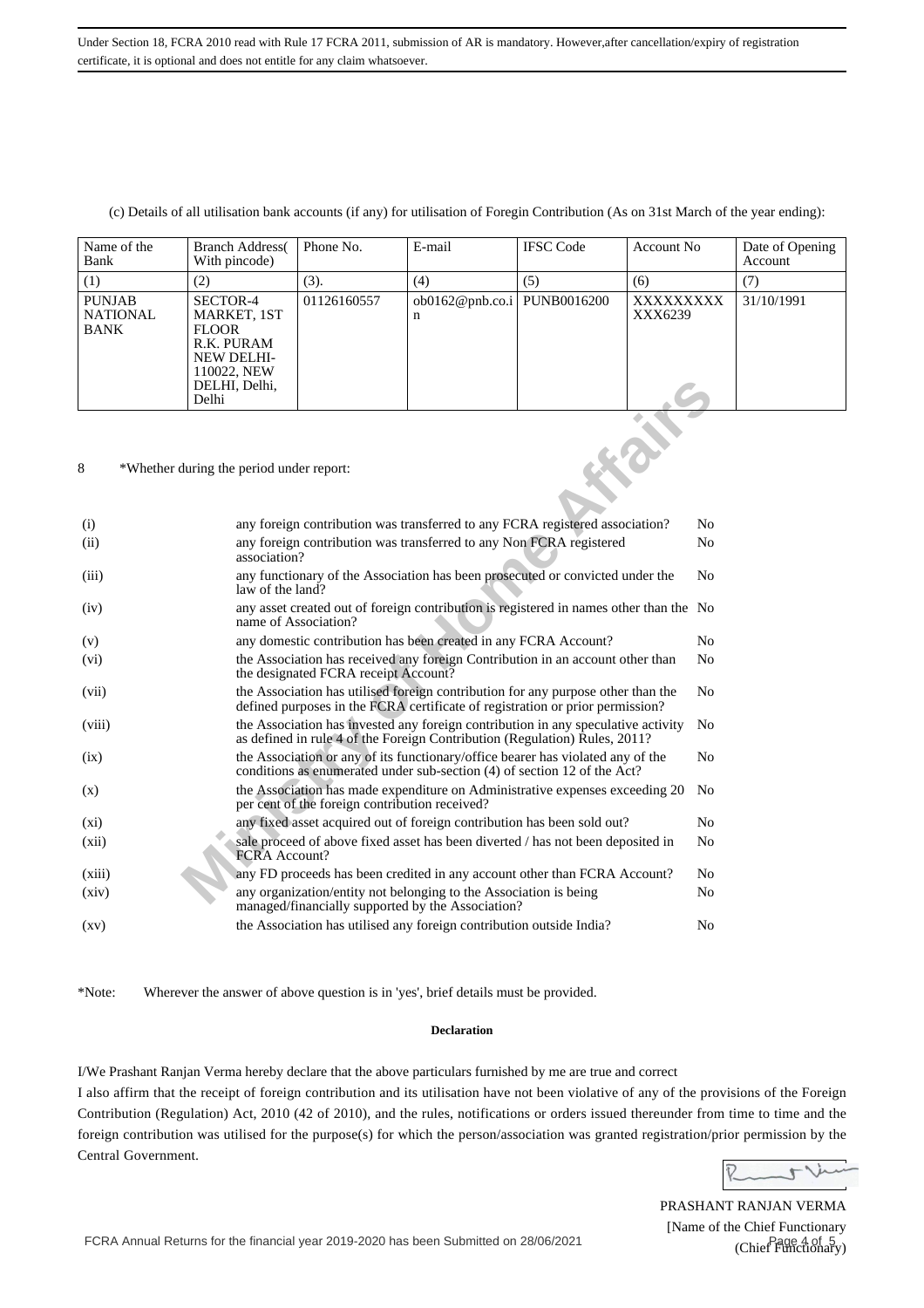#### (c) Details of all utilisation bank accounts (if any) for utilisation of Foregin Contribution (As on 31st March of the year ending):

| Name of the<br>Bank                           | <b>Branch Address</b><br>With pincode)                                                                              | Phone No.   | E-mail               | <b>IFSC</b> Code | Account No.          | Date of Opening<br>Account |  |  |  |
|-----------------------------------------------|---------------------------------------------------------------------------------------------------------------------|-------------|----------------------|------------------|----------------------|----------------------------|--|--|--|
| (1)                                           | (2)                                                                                                                 | (3).        | (4)                  | (5)              | (6)                  | (7)                        |  |  |  |
| <b>PUNJAB</b><br><b>NATIONAL</b><br>BANK      | SECTOR-4<br>MARKET, 1ST<br><b>FLOOR</b><br>R.K. PURAM<br><b>NEW DELHI-</b><br>110022, NEW<br>DELHI, Delhi,<br>Delhi | 01126160557 | ob0162@pnb.co.i<br>n | PUNB0016200      | XXXXXXXXX<br>XXX6239 | 31/10/1991                 |  |  |  |
| 8<br>*Whether during the period under report: |                                                                                                                     |             |                      |                  |                      |                            |  |  |  |

|                    | DELHI, Delhi,<br>Delhi                   |                                                |                                                                                                                                                                   |  |                |
|--------------------|------------------------------------------|------------------------------------------------|-------------------------------------------------------------------------------------------------------------------------------------------------------------------|--|----------------|
| 8                  | *Whether during the period under report: |                                                |                                                                                                                                                                   |  |                |
| (i)                |                                          |                                                | any foreign contribution was transferred to any FCRA registered association?                                                                                      |  | N <sub>0</sub> |
| (ii)               | association?                             |                                                | any foreign contribution was transferred to any Non FCRA registered                                                                                               |  | N <sub>0</sub> |
| (iii)              | law of the land?                         |                                                | any functionary of the Association has been prosecuted or convicted under the                                                                                     |  | N <sub>0</sub> |
| (iv)               | name of Association?                     |                                                | any asset created out of foreign contribution is registered in names other than the No                                                                            |  |                |
| (v)                |                                          |                                                | any domestic contribution has been created in any FCRA Account?                                                                                                   |  | N <sub>0</sub> |
| $(v_i)$            |                                          | the designated FCRA receipt Account?           | the Association has received any foreign Contribution in an account other than                                                                                    |  | N <sub>0</sub> |
| (vii)              |                                          |                                                | the Association has utilised foreign contribution for any purpose other than the<br>defined purposes in the FCRA certificate of registration or prior permission? |  | No             |
| (viii)             |                                          |                                                | the Association has invested any foreign contribution in any speculative activity<br>as defined in rule 4 of the Foreign Contribution (Regulation) Rules, 2011?   |  | N <sub>0</sub> |
| (ix)               |                                          |                                                | the Association or any of its functionary/office bearer has violated any of the<br>conditions as enumerated under sub-section (4) of section 12 of the Act?       |  | N <sub>0</sub> |
| (x)                |                                          | per cent of the foreign contribution received? | the Association has made expenditure on Administrative expenses exceeding 20                                                                                      |  | No             |
| $(x_i)$            |                                          |                                                | any fixed asset acquired out of foreign contribution has been sold out?                                                                                           |  | No             |
| (xii)              | FCRA Account?                            |                                                | sale proceed of above fixed asset has been diverted / has not been deposited in                                                                                   |  | No             |
| (xiii)             |                                          |                                                | any FD proceeds has been credited in any account other than FCRA Account?                                                                                         |  | No             |
| (xiv)              |                                          |                                                | any organization/entity not belonging to the Association is being<br>managed/financially supported by the Association?                                            |  | N <sub>0</sub> |
| $\left( xy\right)$ |                                          |                                                | the Association has utilised any foreign contribution outside India?                                                                                              |  | N <sub>0</sub> |

\*Note: Wherever the answer of above question is in 'yes', brief details must be provided.

#### **Declaration**

I/We Prashant Ranjan Verma hereby declare that the above particulars furnished by me are true and correct

I also affirm that the receipt of foreign contribution and its utilisation have not been violative of any of the provisions of the Foreign Contribution (Regulation) Act, 2010 (42 of 2010), and the rules, notifications or orders issued thereunder from time to time and the foreign contribution was utilised for the purpose(s) for which the person/association was granted registration/prior permission by the Central Government.

Runtlin

PRASHANT RANJAN VERMA [Name of the Chief Functionary (Chief Functionary)